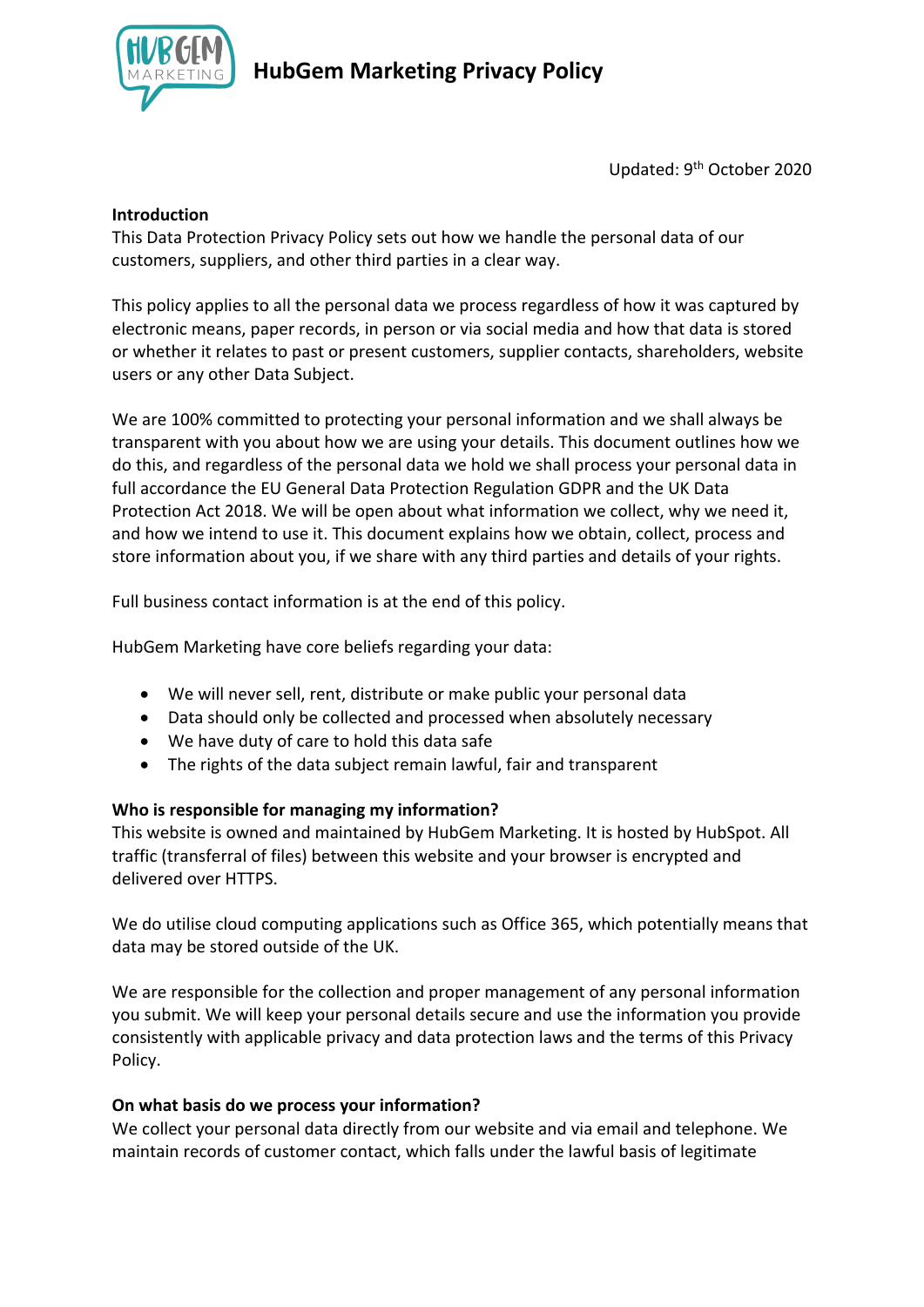

Updated: 9th October 2020

#### **Introduction**

This Data Protection Privacy Policy sets out how we handle the personal data of our customers, suppliers, and other third parties in a clear way.

This policy applies to all the personal data we process regardless of how it was captured by electronic means, paper records, in person or via social media and how that data is stored or whether it relates to past or present customers, supplier contacts, shareholders, website users or any other Data Subject.

We are 100% committed to protecting your personal information and we shall always be transparent with you about how we are using your details. This document outlines how we do this, and regardless of the personal data we hold we shall process your personal data in full accordance the EU General Data Protection Regulation GDPR and the UK Data Protection Act 2018. We will be open about what information we collect, why we need it, and how we intend to use it. This document explains how we obtain, collect, process and store information about you, if we share with any third parties and details of your rights.

Full business contact information is at the end of this policy.

HubGem Marketing have core beliefs regarding your data:

- We will never sell, rent, distribute or make public your personal data
- Data should only be collected and processed when absolutely necessary
- We have duty of care to hold this data safe
- The rights of the data subject remain lawful, fair and transparent

## **Who is responsible for managing my information?**

This website is owned and maintained by HubGem Marketing. It is hosted by HubSpot. All traffic (transferral of files) between this website and your browser is encrypted and delivered over HTTPS.

We do utilise cloud computing applications such as Office 365, which potentially means that data may be stored outside of the UK.

We are responsible for the collection and proper management of any personal information you submit. We will keep your personal details secure and use the information you provide consistently with applicable privacy and data protection laws and the terms of this Privacy Policy.

## **On what basis do we process your information?**

We collect your personal data directly from our website and via email and telephone. We maintain records of customer contact, which falls under the lawful basis of legitimate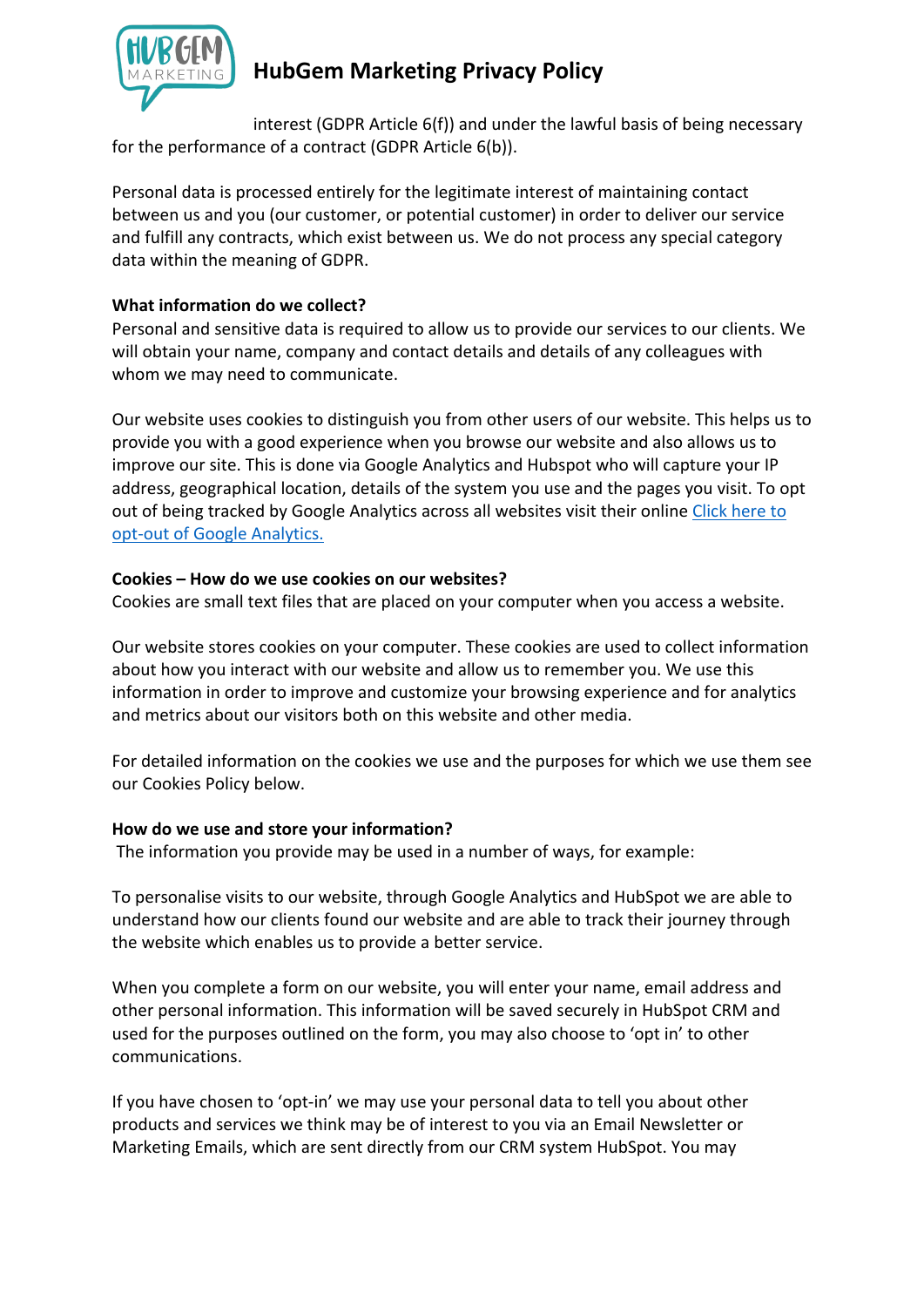

interest (GDPR Article 6(f)) and under the lawful basis of being necessary for the performance of a contract (GDPR Article 6(b)).

Personal data is processed entirely for the legitimate interest of maintaining contact between us and you (our customer, or potential customer) in order to deliver our service and fulfill any contracts, which exist between us. We do not process any special category data within the meaning of GDPR.

## **What information do we collect?**

Personal and sensitive data is required to allow us to provide our services to our clients. We will obtain your name, company and contact details and details of any colleagues with whom we may need to communicate.

Our website uses cookies to distinguish you from other users of our website. This helps us to provide you with a good experience when you browse our website and also allows us to improve our site. This is done via Google Analytics and Hubspot who will capture your IP address, geographical location, details of the system you use and the pages you visit. To opt out of being tracked by Google Analytics across all websites visit their online Click here to opt-out of Google Analytics.

## **Cookies – How do we use cookies on our websites?**

Cookies are small text files that are placed on your computer when you access a website.

Our website stores cookies on your computer. These cookies are used to collect information about how you interact with our website and allow us to remember you. We use this information in order to improve and customize your browsing experience and for analytics and metrics about our visitors both on this website and other media.

For detailed information on the cookies we use and the purposes for which we use them see our Cookies Policy below.

## **How do we use and store your information?**

The information you provide may be used in a number of ways, for example:

To personalise visits to our website, through Google Analytics and HubSpot we are able to understand how our clients found our website and are able to track their journey through the website which enables us to provide a better service.

When you complete a form on our website, you will enter your name, email address and other personal information. This information will be saved securely in HubSpot CRM and used for the purposes outlined on the form, you may also choose to 'opt in' to other communications.

If you have chosen to 'opt-in' we may use your personal data to tell you about other products and services we think may be of interest to you via an Email Newsletter or Marketing Emails, which are sent directly from our CRM system HubSpot. You may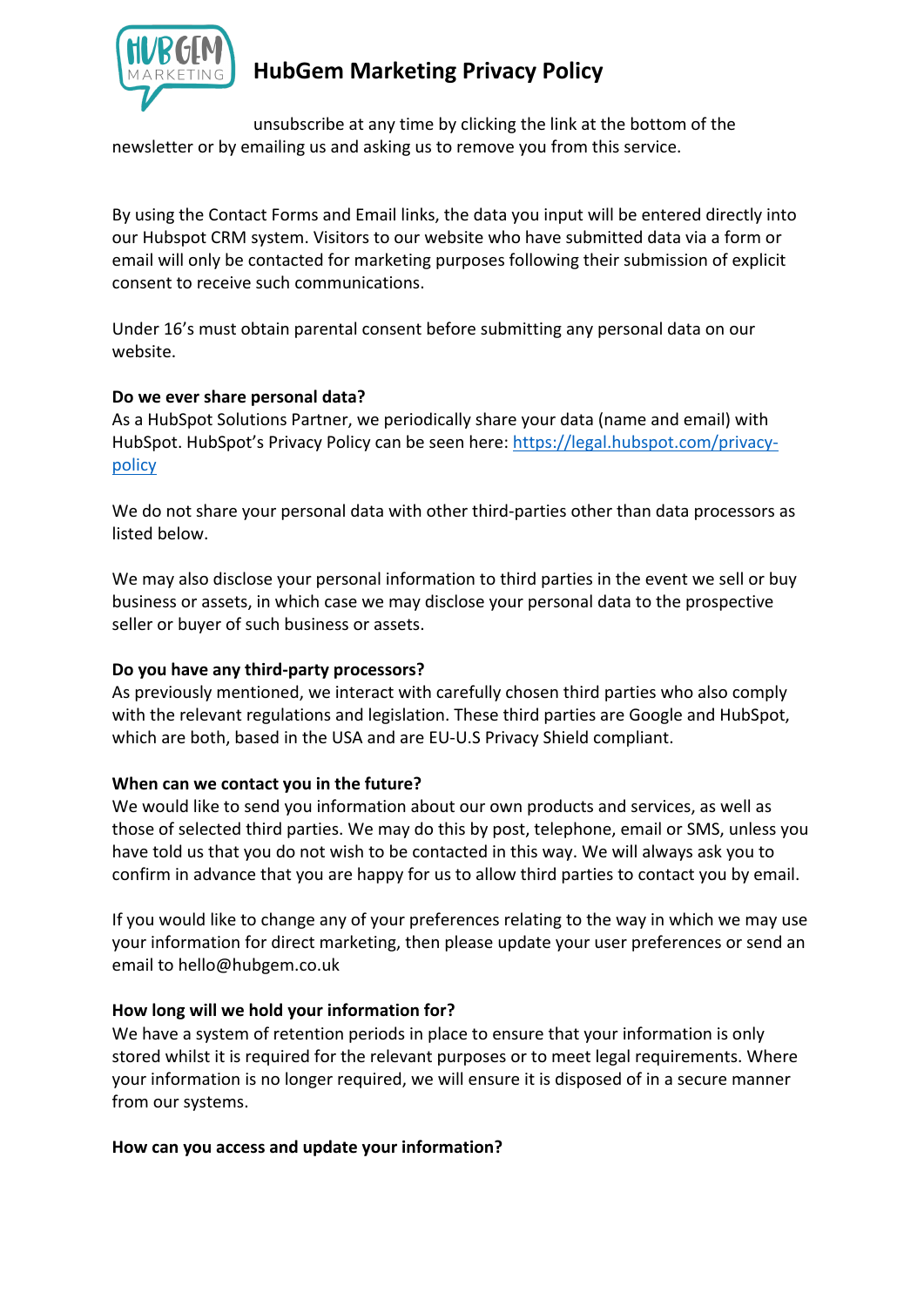

unsubscribe at any time by clicking the link at the bottom of the newsletter or by emailing us and asking us to remove you from this service.

By using the Contact Forms and Email links, the data you input will be entered directly into our Hubspot CRM system. Visitors to our website who have submitted data via a form or email will only be contacted for marketing purposes following their submission of explicit consent to receive such communications.

Under 16's must obtain parental consent before submitting any personal data on our website.

## **Do we ever share personal data?**

As a HubSpot Solutions Partner, we periodically share your data (name and email) with HubSpot. HubSpot's Privacy Policy can be seen here: https://legal.hubspot.com/privacypolicy

We do not share your personal data with other third-parties other than data processors as listed below.

We may also disclose your personal information to third parties in the event we sell or buy business or assets, in which case we may disclose your personal data to the prospective seller or buyer of such business or assets.

## **Do you have any third-party processors?**

As previously mentioned, we interact with carefully chosen third parties who also comply with the relevant regulations and legislation. These third parties are Google and HubSpot, which are both, based in the USA and are EU-U.S Privacy Shield compliant.

## **When can we contact you in the future?**

We would like to send you information about our own products and services, as well as those of selected third parties. We may do this by post, telephone, email or SMS, unless you have told us that you do not wish to be contacted in this way. We will always ask you to confirm in advance that you are happy for us to allow third parties to contact you by email.

If you would like to change any of your preferences relating to the way in which we may use your information for direct marketing, then please update your user preferences or send an email to hello@hubgem.co.uk

## **How long will we hold your information for?**

We have a system of retention periods in place to ensure that your information is only stored whilst it is required for the relevant purposes or to meet legal requirements. Where your information is no longer required, we will ensure it is disposed of in a secure manner from our systems.

## **How can you access and update your information?**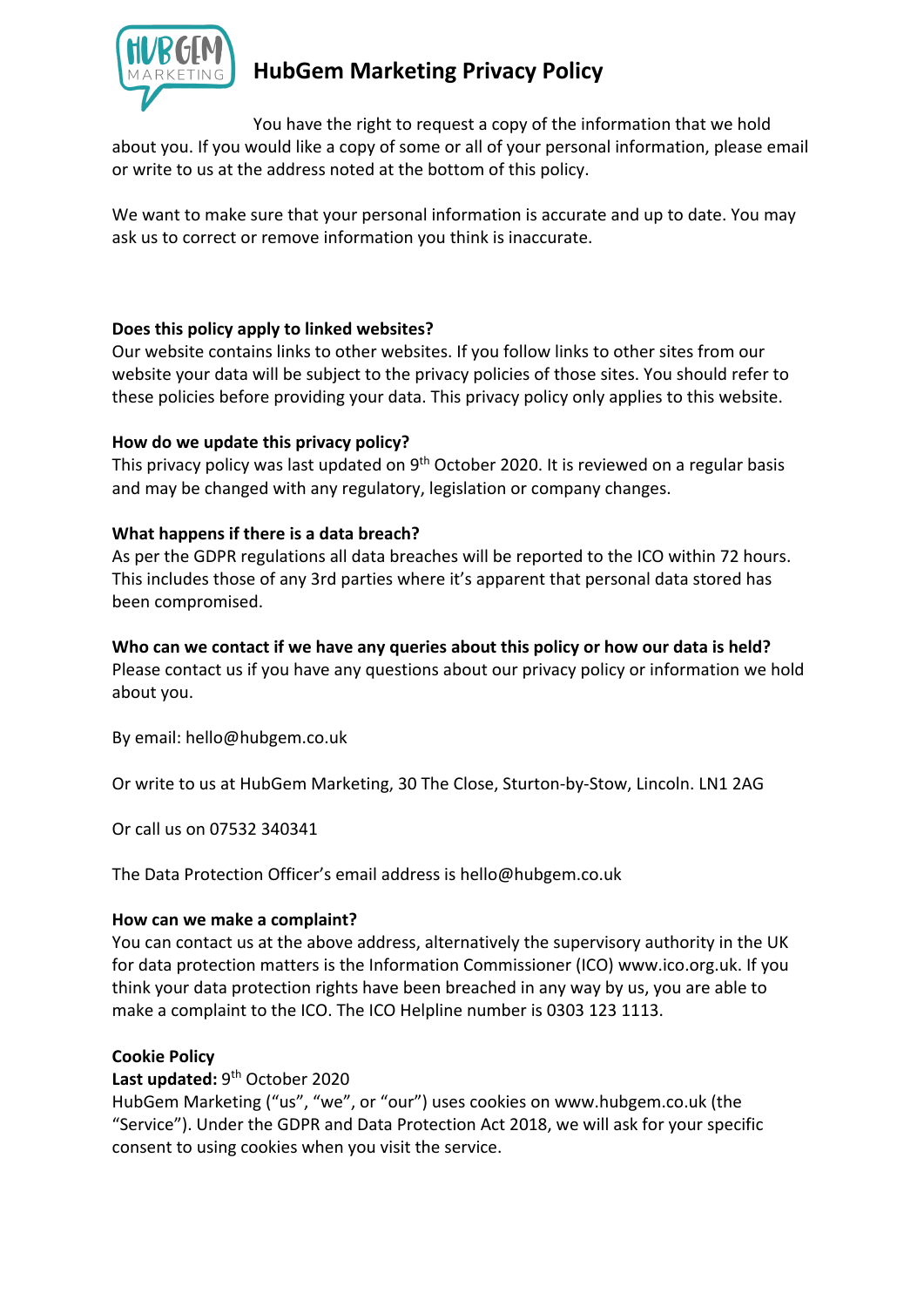

You have the right to request a copy of the information that we hold about you. If you would like a copy of some or all of your personal information, please email or write to us at the address noted at the bottom of this policy.

We want to make sure that your personal information is accurate and up to date. You may ask us to correct or remove information you think is inaccurate.

## **Does this policy apply to linked websites?**

Our website contains links to other websites. If you follow links to other sites from our website your data will be subject to the privacy policies of those sites. You should refer to these policies before providing your data. This privacy policy only applies to this website.

## **How do we update this privacy policy?**

This privacy policy was last updated on 9<sup>th</sup> October 2020. It is reviewed on a regular basis and may be changed with any regulatory, legislation or company changes.

## **What happens if there is a data breach?**

As per the GDPR regulations all data breaches will be reported to the ICO within 72 hours. This includes those of any 3rd parties where it's apparent that personal data stored has been compromised.

## **Who can we contact if we have any queries about this policy or how our data is held?**

Please contact us if you have any questions about our privacy policy or information we hold about you.

By email: hello@hubgem.co.uk

Or write to us at HubGem Marketing, 30 The Close, Sturton-by-Stow, Lincoln. LN1 2AG

Or call us on 07532 340341

The Data Protection Officer's email address is hello@hubgem.co.uk

## **How can we make a complaint?**

You can contact us at the above address, alternatively the supervisory authority in the UK for data protection matters is the Information Commissioner (ICO) www.ico.org.uk. If you think your data protection rights have been breached in any way by us, you are able to make a complaint to the ICO. The ICO Helpline number is 0303 123 1113.

## **Cookie Policy**

Last updated: 9<sup>th</sup> October 2020

HubGem Marketing ("us", "we", or "our") uses cookies on www.hubgem.co.uk (the "Service"). Under the GDPR and Data Protection Act 2018, we will ask for your specific consent to using cookies when you visit the service.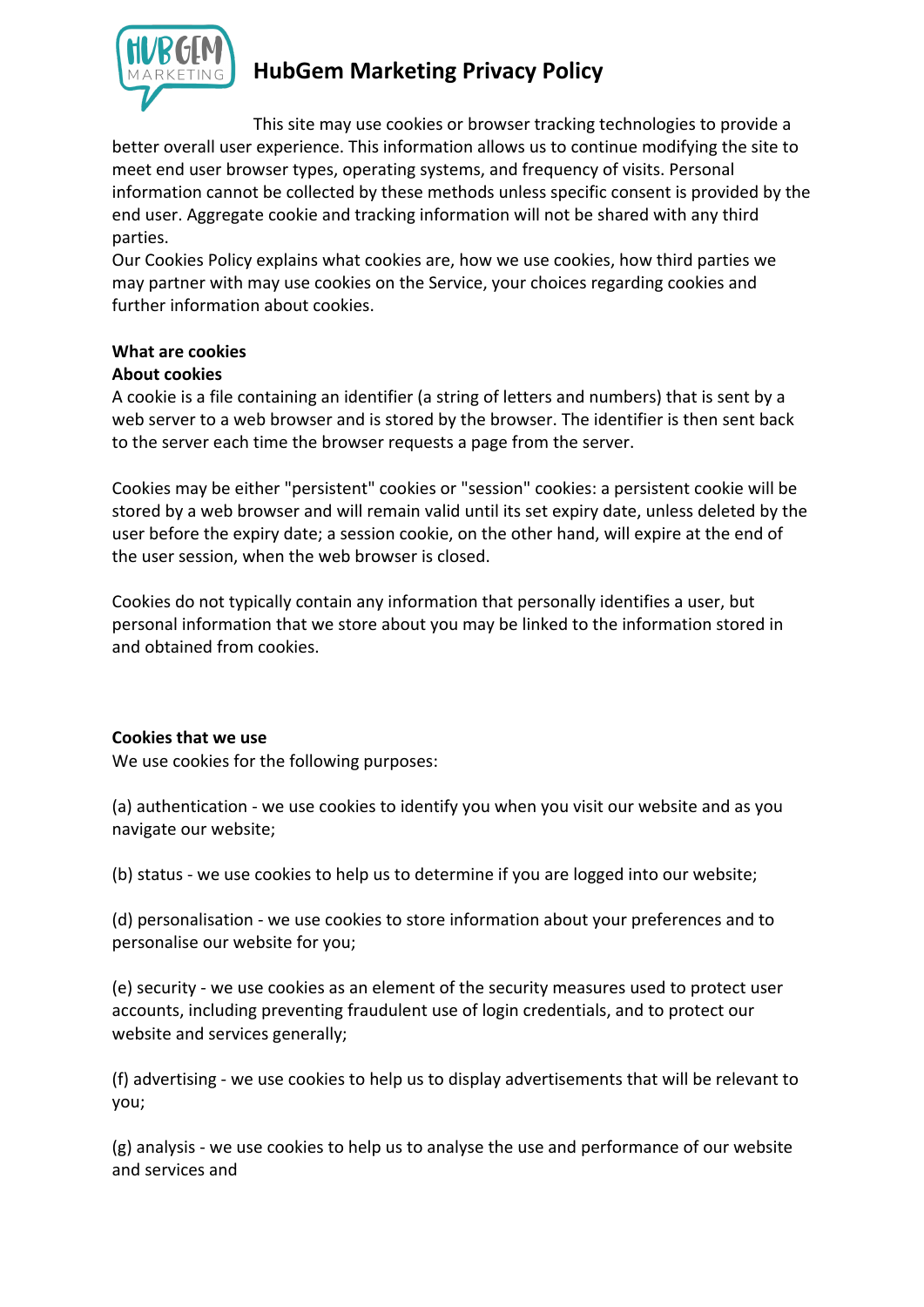

This site may use cookies or browser tracking technologies to provide a better overall user experience. This information allows us to continue modifying the site to meet end user browser types, operating systems, and frequency of visits. Personal information cannot be collected by these methods unless specific consent is provided by the end user. Aggregate cookie and tracking information will not be shared with any third parties.

Our Cookies Policy explains what cookies are, how we use cookies, how third parties we may partner with may use cookies on the Service, your choices regarding cookies and further information about cookies.

## **What are cookies**

## **About cookies**

A cookie is a file containing an identifier (a string of letters and numbers) that is sent by a web server to a web browser and is stored by the browser. The identifier is then sent back to the server each time the browser requests a page from the server.

Cookies may be either "persistent" cookies or "session" cookies: a persistent cookie will be stored by a web browser and will remain valid until its set expiry date, unless deleted by the user before the expiry date; a session cookie, on the other hand, will expire at the end of the user session, when the web browser is closed.

Cookies do not typically contain any information that personally identifies a user, but personal information that we store about you may be linked to the information stored in and obtained from cookies.

## **Cookies that we use**

We use cookies for the following purposes:

(a) authentication - we use cookies to identify you when you visit our website and as you navigate our website;

(b) status - we use cookies to help us to determine if you are logged into our website;

(d) personalisation - we use cookies to store information about your preferences and to personalise our website for you;

(e) security - we use cookies as an element of the security measures used to protect user accounts, including preventing fraudulent use of login credentials, and to protect our website and services generally;

(f) advertising - we use cookies to help us to display advertisements that will be relevant to you;

(g) analysis - we use cookies to help us to analyse the use and performance of our website and services and